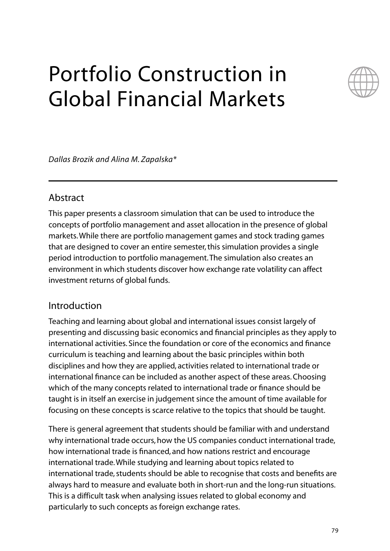# Portfolio Construction in Global Financial Markets



*Dallas Brozik and Alina M. Zapalska\**

# Abstract

This paper presents a classroom simulation that can be used to introduce the concepts of portfolio management and asset allocation in the presence of global markets.While there are portfolio management games and stock trading games that are designed to cover an entire semester, this simulation provides a single period introduction to portfolio management.The simulation also creates an environment in which students discover how exchange rate volatility can affect investment returns of global funds.

# Introduction

Teaching and learning about global and international issues consist largely of presenting and discussing basic economics and financial principles as they apply to international activities. Since the foundation or core of the economics and finance curriculum is teaching and learning about the basic principles within both disciplines and how they are applied, activities related to international trade or international finance can be included as another aspect of these areas. Choosing which of the many concepts related to international trade or finance should be taught is in itself an exercise in judgement since the amount of time available for focusing on these concepts is scarce relative to the topics that should be taught.

There is general agreement that students should be familiar with and understand why international trade occurs, how the US companies conduct international trade, how international trade is financed, and how nations restrict and encourage international trade.While studying and learning about topics related to international trade, students should be able to recognise that costs and benefits are always hard to measure and evaluate both in short-run and the long-run situations. This is a difficult task when analysing issues related to global economy and particularly to such concepts as foreign exchange rates.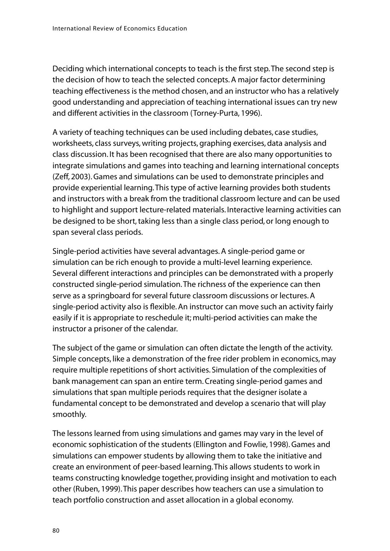Deciding which international concepts to teach is the first step.The second step is the decision of how to teach the selected concepts. A major factor determining teaching effectiveness is the method chosen, and an instructor who has a relatively good understanding and appreciation of teaching international issues can try new and different activities in the classroom (Torney-Purta, 1996).

A variety of teaching techniques can be used including debates, case studies, worksheets, class surveys, writing projects, graphing exercises, data analysis and class discussion. It has been recognised that there are also many opportunities to integrate simulations and games into teaching and learning international concepts (Zeff, 2003). Games and simulations can be used to demonstrate principles and provide experiential learning.This type of active learning provides both students and instructors with a break from the traditional classroom lecture and can be used to highlight and support lecture-related materials. Interactive learning activities can be designed to be short, taking less than a single class period, or long enough to span several class periods.

Single-period activities have several advantages. A single-period game or simulation can be rich enough to provide a multi-level learning experience. Several different interactions and principles can be demonstrated with a properly constructed single-period simulation.The richness of the experience can then serve as a springboard for several future classroom discussions or lectures. A single-period activity also is flexible. An instructor can move such an activity fairly easily if it is appropriate to reschedule it; multi-period activities can make the instructor a prisoner of the calendar.

The subject of the game or simulation can often dictate the length of the activity. Simple concepts, like a demonstration of the free rider problem in economics, may require multiple repetitions of short activities. Simulation of the complexities of bank management can span an entire term. Creating single-period games and simulations that span multiple periods requires that the designer isolate a fundamental concept to be demonstrated and develop a scenario that will play smoothly.

The lessons learned from using simulations and games may vary in the level of economic sophistication of the students (Ellington and Fowlie, 1998). Games and simulations can empower students by allowing them to take the initiative and create an environment of peer-based learning.This allows students to work in teams constructing knowledge together, providing insight and motivation to each other (Ruben, 1999).This paper describes how teachers can use a simulation to teach portfolio construction and asset allocation in a global economy.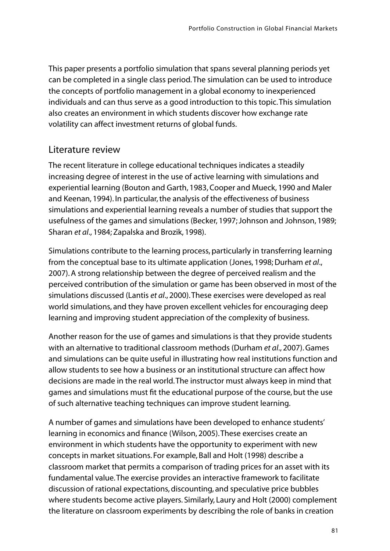This paper presents a portfolio simulation that spans several planning periods yet can be completed in a single class period.The simulation can be used to introduce the concepts of portfolio management in a global economy to inexperienced individuals and can thus serve as a good introduction to this topic.This simulation also creates an environment in which students discover how exchange rate volatility can affect investment returns of global funds.

## Literature review

The recent literature in college educational techniques indicates a steadily increasing degree of interest in the use of active learning with simulations and experiential learning (Bouton and Garth, 1983, Cooper and Mueck, 1990 and Maler and Keenan, 1994). In particular, the analysis of the effectiveness of business simulations and experiential learning reveals a number of studies that support the usefulness of the games and simulations (Becker, 1997; Johnson and Johnson, 1989; Sharan *et al*., 1984; Zapalska and Brozik, 1998).

Simulations contribute to the learning process, particularly in transferring learning from the conceptual base to its ultimate application (Jones, 1998; Durham *et al*., 2007). A strong relationship between the degree of perceived realism and the perceived contribution of the simulation or game has been observed in most of the simulations discussed (Lantis *et al*., 2000).These exercises were developed as real world simulations, and they have proven excellent vehicles for encouraging deep learning and improving student appreciation of the complexity of business.

Another reason for the use of games and simulations is that they provide students with an alternative to traditional classroom methods (Durham *et al*., 2007).Games and simulations can be quite useful in illustrating how real institutions function and allow students to see how a business or an institutional structure can affect how decisions are made in the real world.The instructor must always keep in mind that games and simulations must fit the educational purpose of the course, but the use of such alternative teaching techniques can improve student learning.

A number of games and simulations have been developed to enhance students' learning in economics and finance (Wilson, 2005).These exercises create an environment in which students have the opportunity to experiment with new concepts in market situations. For example, Ball and Holt (1998) describe a classroom market that permits a comparison of trading prices for an asset with its fundamental value.The exercise provides an interactive framework to facilitate discussion of rational expectations, discounting, and speculative price bubbles where students become active players. Similarly, Laury and Holt (2000) complement the literature on classroom experiments by describing the role of banks in creation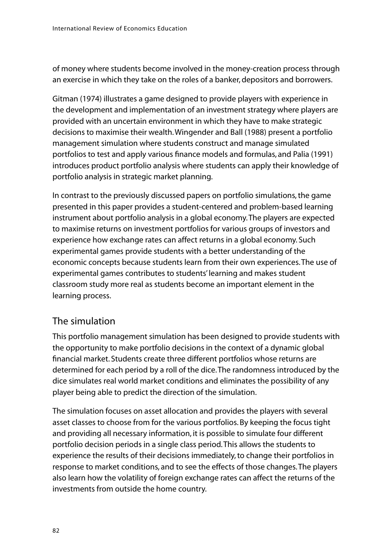of money where students become involved in the money-creation process through an exercise in which they take on the roles of a banker, depositors and borrowers.

Gitman (1974) illustrates a game designed to provide players with experience in the development and implementation of an investment strategy where players are provided with an uncertain environment in which they have to make strategic decisions to maximise their wealth.Wingender and Ball (1988) present a portfolio management simulation where students construct and manage simulated portfolios to test and apply various finance models and formulas, and Palia (1991) introduces product portfolio analysis where students can apply their knowledge of portfolio analysis in strategic market planning.

In contrast to the previously discussed papers on portfolio simulations, the game presented in this paper provides a student-centered and problem-based learning instrument about portfolio analysis in a global economy.The players are expected to maximise returns on investment portfolios for various groups of investors and experience how exchange rates can affect returns in a global economy. Such experimental games provide students with a better understanding of the economic concepts because students learn from their own experiences.The use of experimental games contributes to students' learning and makes student classroom study more real as students become an important element in the learning process.

# The simulation

This portfolio management simulation has been designed to provide students with the opportunity to make portfolio decisions in the context of a dynamic global financial market. Students create three different portfolios whose returns are determined for each period by a roll of the dice.The randomness introduced by the dice simulates real world market conditions and eliminates the possibility of any player being able to predict the direction of the simulation.

The simulation focuses on asset allocation and provides the players with several asset classes to choose from for the various portfolios. By keeping the focus tight and providing all necessary information, it is possible to simulate four different portfolio decision periods in a single class period.This allows the students to experience the results of their decisions immediately, to change their portfolios in response to market conditions, and to see the effects of those changes.The players also learn how the volatility of foreign exchange rates can affect the returns of the investments from outside the home country.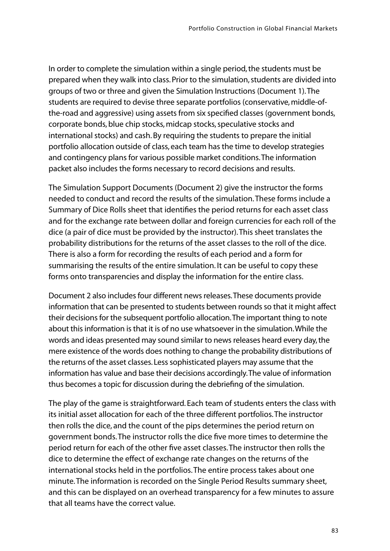In order to complete the simulation within a single period, the students must be prepared when they walk into class. Prior to the simulation, students are divided into groups of two or three and given the Simulation Instructions (Document 1).The students are required to devise three separate portfolios (conservative, middle-ofthe-road and aggressive) using assets from six specified classes (government bonds, corporate bonds, blue chip stocks, midcap stocks, speculative stocks and international stocks) and cash. By requiring the students to prepare the initial portfolio allocation outside of class, each team has the time to develop strategies and contingency plans for various possible market conditions.The information packet also includes the forms necessary to record decisions and results.

The Simulation Support Documents (Document 2) give the instructor the forms needed to conduct and record the results of the simulation.These forms include a Summary of Dice Rolls sheet that identifies the period returns for each asset class and for the exchange rate between dollar and foreign currencies for each roll of the dice (a pair of dice must be provided by the instructor).This sheet translates the probability distributions for the returns of the asset classes to the roll of the dice. There is also a form for recording the results of each period and a form for summarising the results of the entire simulation. It can be useful to copy these forms onto transparencies and display the information for the entire class.

Document 2 also includes four different news releases.These documents provide information that can be presented to students between rounds so that it might affect their decisions for the subsequent portfolio allocation.The important thing to note about this information is that it is of no use whatsoever in the simulation.While the words and ideas presented may sound similar to news releases heard every day, the mere existence of the words does nothing to change the probability distributions of the returns of the asset classes. Less sophisticated players may assume that the information has value and base their decisions accordingly.The value of information thus becomes a topic for discussion during the debriefing of the simulation.

The play of the game is straightforward. Each team of students enters the class with its initial asset allocation for each of the three different portfolios.The instructor then rolls the dice, and the count of the pips determines the period return on government bonds.The instructor rolls the dice five more times to determine the period return for each of the other five asset classes.The instructor then rolls the dice to determine the effect of exchange rate changes on the returns of the international stocks held in the portfolios.The entire process takes about one minute.The information is recorded on the Single Period Results summary sheet, and this can be displayed on an overhead transparency for a few minutes to assure that all teams have the correct value.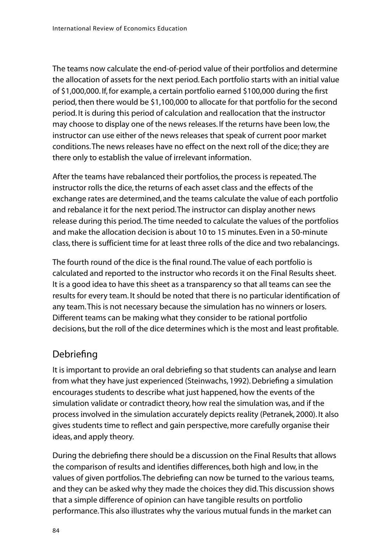The teams now calculate the end-of-period value of their portfolios and determine the allocation of assets for the next period. Each portfolio starts with an initial value of \$1,000,000. If, for example, a certain portfolio earned \$100,000 during the first period, then there would be \$1,100,000 to allocate for that portfolio for the second period. It is during this period of calculation and reallocation that the instructor may choose to display one of the news releases. If the returns have been low, the instructor can use either of the news releases that speak of current poor market conditions.The news releases have no effect on the next roll of the dice; they are there only to establish the value of irrelevant information.

After the teams have rebalanced their portfolios, the process is repeated.The instructor rolls the dice, the returns of each asset class and the effects of the exchange rates are determined, and the teams calculate the value of each portfolio and rebalance it for the next period.The instructor can display another news release during this period.The time needed to calculate the values of the portfolios and make the allocation decision is about 10 to 15 minutes. Even in a 50-minute class, there is sufficient time for at least three rolls of the dice and two rebalancings.

The fourth round of the dice is the final round.The value of each portfolio is calculated and reported to the instructor who records it on the Final Results sheet. It is a good idea to have this sheet as a transparency so that all teams can see the results for every team. It should be noted that there is no particular identification of any team.This is not necessary because the simulation has no winners or losers. Different teams can be making what they consider to be rational portfolio decisions, but the roll of the dice determines which is the most and least profitable.

# Debriefing

It is important to provide an oral debriefing so that students can analyse and learn from what they have just experienced (Steinwachs, 1992). Debriefing a simulation encourages students to describe what just happened, how the events of the simulation validate or contradict theory, how real the simulation was, and if the process involved in the simulation accurately depicts reality (Petranek, 2000). It also gives students time to reflect and gain perspective, more carefully organise their ideas, and apply theory.

During the debriefing there should be a discussion on the Final Results that allows the comparison of results and identifies differences, both high and low, in the values of given portfolios.The debriefing can now be turned to the various teams, and they can be asked why they made the choices they did.This discussion shows that a simple difference of opinion can have tangible results on portfolio performance.This also illustrates why the various mutual funds in the market can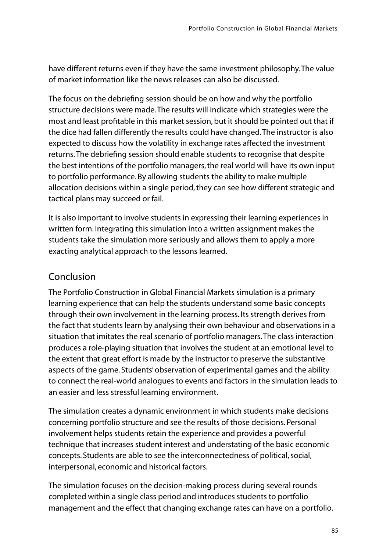have different returns even if they have the same investment philosophy.The value of market information like the news releases can also be discussed.

The focus on the debriefing session should be on how and why the portfolio structure decisions were made.The results will indicate which strategies were the most and least profitable in this market session, but it should be pointed out that if the dice had fallen differently the results could have changed.The instructor is also expected to discuss how the volatility in exchange rates affected the investment returns.The debriefing session should enable students to recognise that despite the best intentions of the portfolio managers, the real world will have its own input to portfolio performance. By allowing students the ability to make multiple allocation decisions within a single period, they can see how different strategic and tactical plans may succeed or fail.

It is also important to involve students in expressing their learning experiences in written form. Integrating this simulation into a written assignment makes the students take the simulation more seriously and allows them to apply a more exacting analytical approach to the lessons learned.

# Conclusion

The Portfolio Construction in Global Financial Markets simulation is a primary learning experience that can help the students understand some basic concepts through their own involvement in the learning process. Its strength derives from the fact that students learn by analysing their own behaviour and observations in a situation that imitates the real scenario of portfolio managers.The class interaction produces a role-playing situation that involves the student at an emotional level to the extent that great effort is made by the instructor to preserve the substantive aspects of the game. Students' observation of experimental games and the ability to connect the real-world analogues to events and factors in the simulation leads to an easier and less stressful learning environment.

The simulation creates a dynamic environment in which students make decisions concerning portfolio structure and see the results of those decisions. Personal involvement helps students retain the experience and provides a powerful technique that increases student interest and understating of the basic economic concepts. Students are able to see the interconnectedness of political, social, interpersonal, economic and historical factors.

The simulation focuses on the decision-making process during several rounds completed within a single class period and introduces students to portfolio management and the effect that changing exchange rates can have on a portfolio.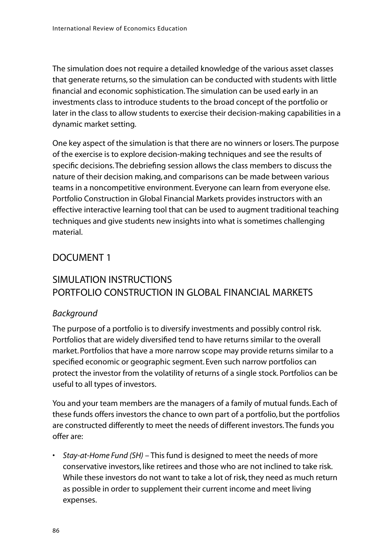The simulation does not require a detailed knowledge of the various asset classes that generate returns, so the simulation can be conducted with students with little financial and economic sophistication.The simulation can be used early in an investments class to introduce students to the broad concept of the portfolio or later in the class to allow students to exercise their decision-making capabilities in a dynamic market setting.

One key aspect of the simulation is that there are no winners or losers.The purpose of the exercise is to explore decision-making techniques and see the results of specific decisions.The debriefing session allows the class members to discuss the nature of their decision making, and comparisons can be made between various teams in a noncompetitive environment. Everyone can learn from everyone else. Portfolio Construction in Global Financial Markets provides instructors with an effective interactive learning tool that can be used to augment traditional teaching techniques and give students new insights into what is sometimes challenging material.

# DOCUMENT 1

# SIMULATION INSTRUCTIONS PORTFOLIO CONSTRUCTION IN GLOBAL FINANCIAL MARKETS

## *Background*

The purpose of a portfolio is to diversify investments and possibly control risk. Portfolios that are widely diversified tend to have returns similar to the overall market. Portfolios that have a more narrow scope may provide returns similar to a specified economic or geographic segment. Even such narrow portfolios can protect the investor from the volatility of returns of a single stock. Portfolios can be useful to all types of investors.

You and your team members are the managers of a family of mutual funds. Each of these funds offers investors the chance to own part of a portfolio, but the portfolios are constructed differently to meet the needs of different investors.The funds you offer are:

• *Stay-at-Home Fund (SH)* – This fund is designed to meet the needs of more conservative investors, like retirees and those who are not inclined to take risk. While these investors do not want to take a lot of risk, they need as much return as possible in order to supplement their current income and meet living expenses.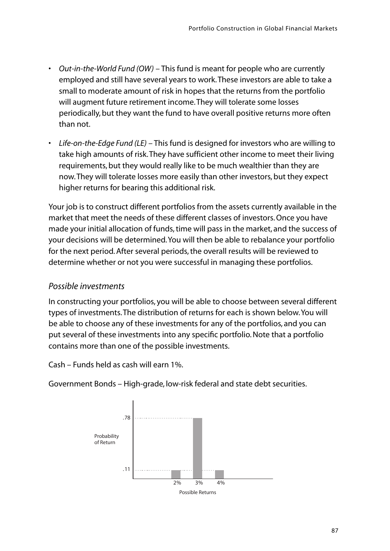- *Out-in-the-World Fund (OW)* This fund is meant for people who are currently employed and still have several years to work.These investors are able to take a small to moderate amount of risk in hopes that the returns from the portfolio will augment future retirement income.They will tolerate some losses periodically, but they want the fund to have overall positive returns more often than not.
- *Life-on-the-Edge Fund (LE)* This fund is designed for investors who are willing to take high amounts of risk.They have sufficient other income to meet their living requirements, but they would really like to be much wealthier than they are now.They will tolerate losses more easily than other investors, but they expect higher returns for bearing this additional risk.

Your job is to construct different portfolios from the assets currently available in the market that meet the needs of these different classes of investors. Once you have made your initial allocation of funds, time will pass in the market, and the success of your decisions will be determined.You will then be able to rebalance your portfolio for the next period. After several periods, the overall results will be reviewed to determine whether or not you were successful in managing these portfolios.

## *Possible investments*

In constructing your portfolios, you will be able to choose between several different types of investments.The distribution of returns for each is shown below.You will be able to choose any of these investments for any of the portfolios, and you can put several of these investments into any specific portfolio. Note that a portfolio contains more than one of the possible investments.

Cash – Funds held as cash will earn 1%.

Government Bonds – High-grade, low-risk federal and state debt securities.

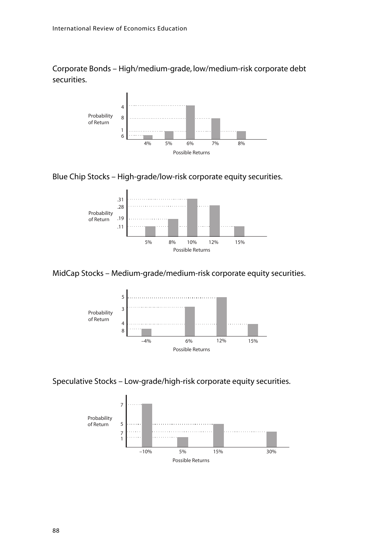Corporate Bonds – High/medium-grade, low/medium-risk corporate debt securities.



Blue Chip Stocks – High-grade/low-risk corporate equity securities.



MidCap Stocks – Medium-grade/medium-risk corporate equity securities.



Speculative Stocks – Low-grade/high-risk corporate equity securities.

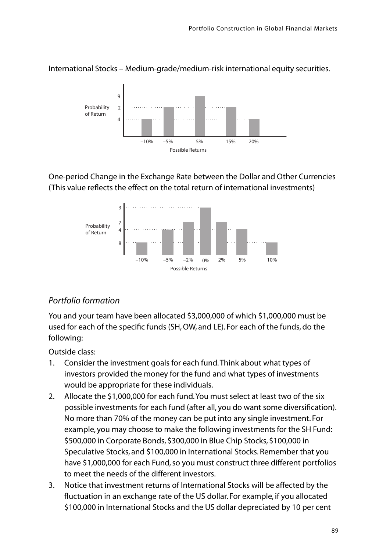



One-period Change in the Exchange Rate between the Dollar and Other Currencies (This value reflects the effect on the total return of international investments)



## *Portfolio formation*

You and your team have been allocated \$3,000,000 of which \$1,000,000 must be used for each of the specific funds (SH, OW, and LE). For each of the funds, do the following:

Outside class:

- 1. Consider the investment goals for each fund.Think about what types of investors provided the money for the fund and what types of investments would be appropriate for these individuals.
- 2. Allocate the \$1,000,000 for each fund.You must select at least two of the six possible investments for each fund (after all, you do want some diversification). No more than 70% of the money can be put into any single investment. For example, you may choose to make the following investments for the SH Fund: \$500,000 in Corporate Bonds, \$300,000 in Blue Chip Stocks, \$100,000 in Speculative Stocks, and \$100,000 in International Stocks. Remember that you have \$1,000,000 for each Fund, so you must construct three different portfolios to meet the needs of the different investors.
- 3. Notice that investment returns of International Stocks will be affected by the fluctuation in an exchange rate of the US dollar. For example, if you allocated \$100,000 in International Stocks and the US dollar depreciated by 10 per cent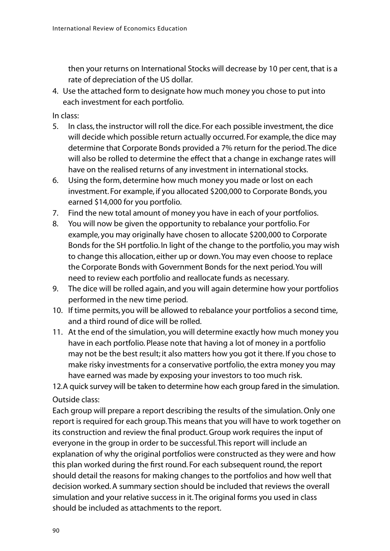then your returns on International Stocks will decrease by 10 per cent, that is a rate of depreciation of the US dollar.

4. Use the attached form to designate how much money you chose to put into each investment for each portfolio.

In class:

- 5. In class, the instructor will roll the dice. For each possible investment, the dice will decide which possible return actually occurred. For example, the dice may determine that Corporate Bonds provided a 7% return for the period.The dice will also be rolled to determine the effect that a change in exchange rates will have on the realised returns of any investment in international stocks.
- 6. Using the form, determine how much money you made or lost on each investment. For example, if you allocated \$200,000 to Corporate Bonds, you earned \$14,000 for you portfolio.
- 7. Find the new total amount of money you have in each of your portfolios.
- 8. You will now be given the opportunity to rebalance your portfolio. For example, you may originally have chosen to allocate \$200,000 to Corporate Bonds for the SH portfolio. In light of the change to the portfolio, you may wish to change this allocation, either up or down.You may even choose to replace the Corporate Bonds with Government Bonds for the next period.You will need to review each portfolio and reallocate funds as necessary.
- 9. The dice will be rolled again, and you will again determine how your portfolios performed in the new time period.
- 10. If time permits, you will be allowed to rebalance your portfolios a second time, and a third round of dice will be rolled.
- 11. At the end of the simulation, you will determine exactly how much money you have in each portfolio. Please note that having a lot of money in a portfolio may not be the best result; it also matters how you got it there. If you chose to make risky investments for a conservative portfolio, the extra money you may have earned was made by exposing your investors to too much risk.

12.A quick survey will be taken to determine how each group fared in the simulation. Outside class:

Each group will prepare a report describing the results of the simulation. Only one report is required for each group.This means that you will have to work together on its construction and review the final product. Group work requires the input of everyone in the group in order to be successful.This report will include an explanation of why the original portfolios were constructed as they were and how this plan worked during the first round. For each subsequent round, the report should detail the reasons for making changes to the portfolios and how well that decision worked. A summary section should be included that reviews the overall simulation and your relative success in it.The original forms you used in class should be included as attachments to the report.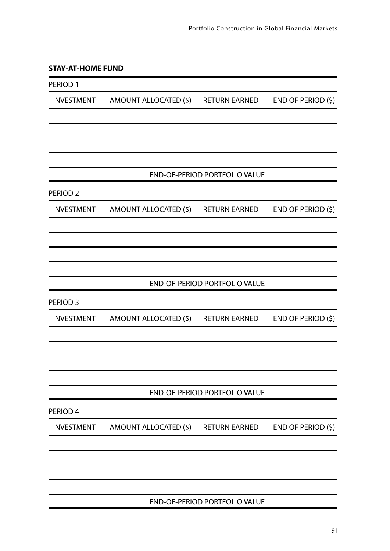#### **STAY-AT-HOME FUND**

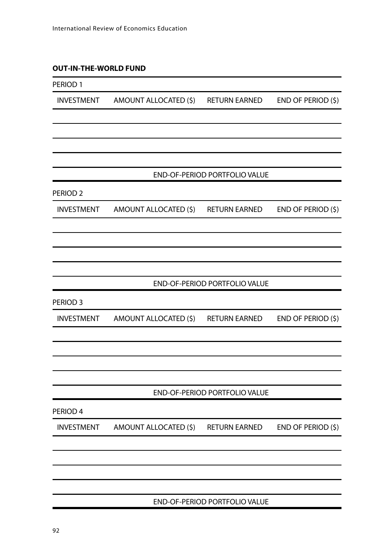## **OUT-IN-THE-WORLD FUND**

| PERIOD 1            |                       |                                      |                    |
|---------------------|-----------------------|--------------------------------------|--------------------|
| <b>INVESTMENT</b>   | AMOUNT ALLOCATED (\$) | RETURN EARNED                        | END OF PERIOD (\$) |
|                     |                       |                                      |                    |
|                     |                       |                                      |                    |
|                     |                       |                                      |                    |
|                     |                       | END-OF-PERIOD PORTFOLIO VALUE        |                    |
| PERIOD <sub>2</sub> |                       |                                      |                    |
| <b>INVESTMENT</b>   | AMOUNT ALLOCATED (\$) | <b>RETURN EARNED</b>                 | END OF PERIOD (\$) |
|                     |                       |                                      |                    |
|                     |                       |                                      |                    |
|                     |                       |                                      |                    |
|                     |                       |                                      |                    |
|                     |                       | <b>END-OF-PERIOD PORTFOLIO VALUE</b> |                    |
| PERIOD <sub>3</sub> |                       |                                      |                    |
| <b>INVESTMENT</b>   | AMOUNT ALLOCATED (\$) | <b>RETURN EARNED</b>                 | END OF PERIOD (\$) |
|                     |                       |                                      |                    |
|                     |                       |                                      |                    |
|                     |                       |                                      |                    |
|                     |                       | END-OF-PERIOD PORTFOLIO VALUE        |                    |
| Period 4            |                       |                                      |                    |
| <b>INVESTMENT</b>   | AMOUNT ALLOCATED (\$) | RETURN EARNED                        | END OF PERIOD (\$) |
|                     |                       |                                      |                    |
|                     |                       |                                      |                    |
|                     |                       |                                      |                    |
|                     |                       |                                      |                    |
|                     |                       | <b>END-OF-PERIOD PORTFOLIO VALUE</b> |                    |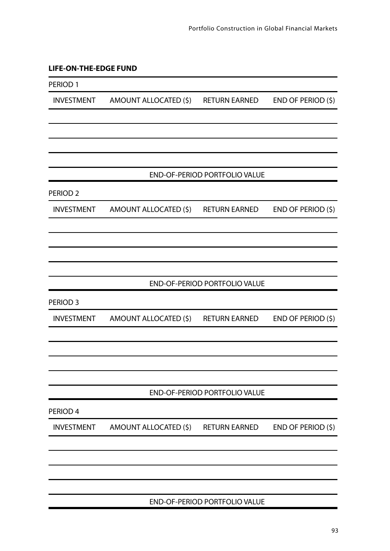#### **LIFE-ON-THE-EDGE FUND**

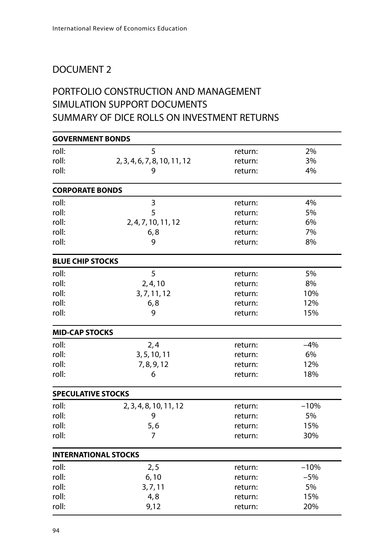# DOCUMENT 2

# PORTFOLIO CONSTRUCTION AND MANAGEMENT SIMULATION SUPPORT DOCUMENTS SUMMARY OF DICE ROLLS ON INVESTMENT RETURNS

| <b>GOVERNMENT BONDS</b>   |                              |         |        |
|---------------------------|------------------------------|---------|--------|
| roll:                     | 5                            | return: | 2%     |
| roll:                     | 2, 3, 4, 6, 7, 8, 10, 11, 12 | return: | 3%     |
| roll:                     | 9                            | return: | 4%     |
| <b>CORPORATE BONDS</b>    |                              |         |        |
| roll:                     | 3                            | return: | 4%     |
| roll:                     | 5                            | return: | 5%     |
| roll:                     | 2, 4, 7, 10, 11, 12          | return: | 6%     |
| roll:                     | 6,8                          | return: | 7%     |
| roll:                     | 9                            | return: | 8%     |
| <b>BLUE CHIP STOCKS</b>   |                              |         |        |
| roll:                     | 5                            | return: | 5%     |
| roll:                     | 2, 4, 10                     | return: | 8%     |
| roll:                     | 3, 7, 11, 12                 | return: | 10%    |
| roll:                     | 6, 8                         | return: | 12%    |
| roll:                     | 9                            | return: | 15%    |
| <b>MID-CAP STOCKS</b>     |                              |         |        |
| roll:                     | 2,4                          | return: | $-4%$  |
| roll:                     | 3, 5, 10, 11                 | return: | 6%     |
| roll:                     | 7, 8, 9, 12                  | return: | 12%    |
| roll:                     | 6                            | return: | 18%    |
| <b>SPECULATIVE STOCKS</b> |                              |         |        |
| roll:                     | 2, 3, 4, 8, 10, 11, 12       | return: | $-10%$ |
| roll:                     | 9                            | return: | 5%     |
| roll:                     | 5,6                          | return: | 15%    |
| roll:                     | 7                            | return: | 30%    |
|                           | <b>INTERNATIONAL STOCKS</b>  |         |        |
| roll:                     | 2, 5                         | return: | $-10%$ |
| roll:                     | 6, 10                        | return: | $-5%$  |
| roll:                     | 3, 7, 11                     | return: | 5%     |
| roll:                     | 4,8                          | return: | 15%    |
| roll:                     | 9,12                         | return: | 20%    |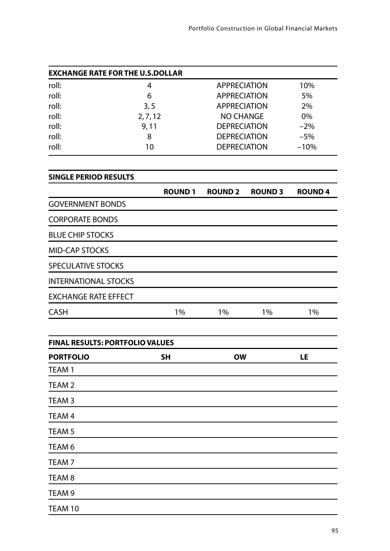|       | <b>EXCHANGE RATE FOR THE U.S.DOLLAR</b> |                     |        |
|-------|-----------------------------------------|---------------------|--------|
| roll: | 4                                       | APPRECIATION        | 10%    |
| roll: | 6                                       | <b>APPRECIATION</b> | 5%     |
| roll: | 3.5                                     | <b>APPRECIATION</b> | 2%     |
| roll: | 2, 7, 12                                | NO CHANGE           | 0%     |
| roll: | 9.11                                    | <b>DEPRECIATION</b> | $-2\%$ |
| roll: | 8                                       | <b>DEPRECIATION</b> | $-5%$  |
| roll: | 10                                      | <b>DEPRECIATION</b> | $-10%$ |

#### **SINGLE PERIOD RESULTS**

|                             | <b>ROUND1</b> | <b>ROUND 2</b> | <b>ROUND 3</b> | <b>ROUND4</b> |
|-----------------------------|---------------|----------------|----------------|---------------|
| <b>GOVERNMENT BONDS</b>     |               |                |                |               |
| <b>CORPORATE BONDS</b>      |               |                |                |               |
| <b>BLUE CHIP STOCKS</b>     |               |                |                |               |
| <b>MID-CAP STOCKS</b>       |               |                |                |               |
| SPECULATIVE STOCKS          |               |                |                |               |
| <b>INTERNATIONAL STOCKS</b> |               |                |                |               |
| <b>EXCHANGE RATE EFFECT</b> |               |                |                |               |
| <b>CASH</b>                 | $1\%$         | 1%             | 1%             | 1%            |

| <b>FINAL RESULTS: PORTFOLIO VALUES</b> |    |           |    |  |
|----------------------------------------|----|-----------|----|--|
| <b>PORTFOLIO</b>                       | SH | <b>OW</b> | LE |  |
| TEAM 1                                 |    |           |    |  |
| TEAM 2                                 |    |           |    |  |
| TEAM <sub>3</sub>                      |    |           |    |  |
| TEAM 4                                 |    |           |    |  |
| TEAM 5                                 |    |           |    |  |
| TEAM 6                                 |    |           |    |  |
| TEAM 7                                 |    |           |    |  |
| TEAM <sub>8</sub>                      |    |           |    |  |
| TEAM 9                                 |    |           |    |  |
| TEAM 10                                |    |           |    |  |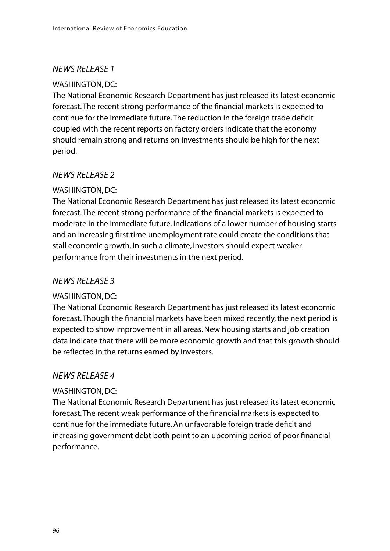## *NEWS RELEASE 1*

#### WASHINGTON, DC:

The National Economic Research Department has just released its latest economic forecast.The recent strong performance of the financial markets is expected to continue for the immediate future.The reduction in the foreign trade deficit coupled with the recent reports on factory orders indicate that the economy should remain strong and returns on investments should be high for the next period.

### *NEWS RELEASE 2*

#### WASHINGTON, DC:

The National Economic Research Department has just released its latest economic forecast.The recent strong performance of the financial markets is expected to moderate in the immediate future. Indications of a lower number of housing starts and an increasing first time unemployment rate could create the conditions that stall economic growth. In such a climate, investors should expect weaker performance from their investments in the next period.

#### *NEWS RELEASE 3*

#### WASHINGTON, DC:

The National Economic Research Department has just released its latest economic forecast.Though the financial markets have been mixed recently, the next period is expected to show improvement in all areas. New housing starts and job creation data indicate that there will be more economic growth and that this growth should be reflected in the returns earned by investors.

#### *NEWS RELEASE 4*

#### WASHINGTON, DC:

The National Economic Research Department has just released its latest economic forecast.The recent weak performance of the financial markets is expected to continue for the immediate future. An unfavorable foreign trade deficit and increasing government debt both point to an upcoming period of poor financial performance.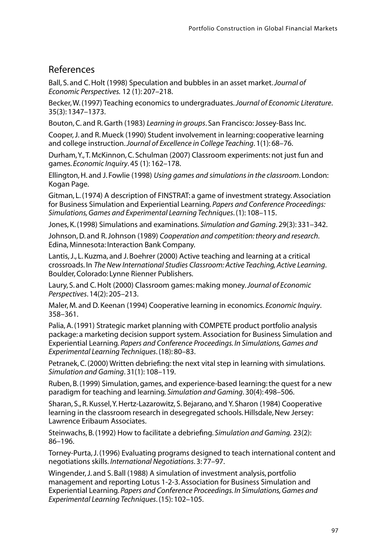## References

Ball, S. and C. Holt (1998) Speculation and bubbles in an asset market.*Journal of Economic Perspectives.* 12 (1): 207–218.

Becker, W. (1997) Teaching economics to undergraduates.*Journal of Economic Literature*. 35(3): 1347–1373.

Bouton, C. and R. Garth (1983) *Learning in groups*. San Francisco: Jossey-Bass Inc.

Cooper, J. and R. Mueck (1990) Student involvement in learning: cooperative learning and college instruction.*Journal of Excellence in College Teaching*. 1(1): 68–76.

Durham,Y.,T. McKinnon, C. Schulman (2007) Classroom experiments: not just fun and games. *Economic Inquiry*. 45 (1): 162–178.

Ellington, H. and J. Fowlie (1998) *Using games and simulations in the classroom*. London: Kogan Page.

Gitman, L. (1974) A description of FINSTRAT: a game of investment strategy. Association for Business Simulation and Experiential Learning. *Papers and Conference Proceedings: Simulations, Games and Experimental Learning Techniques*. (1): 108–115.

Jones, K. (1998) Simulations and examinations. *Simulation and Gaming*. 29(3): 331–342.

Johnson, D. and R. Johnson (1989) *Cooperation and competition: theory and research*. Edina, Minnesota: Interaction Bank Company.

Lantis, J., L. Kuzma, and J. Boehrer (2000) Active teaching and learning at a critical crossroads. In *The New International Studies Classroom: Active Teaching, Active Learning*. Boulder, Colorado: Lynne Rienner Publishers.

Laury, S. and C. Holt (2000) Classroom games: making money.*Journal of Economic Perspectives*. 14(2): 205–213.

Maler, M. and D. Keenan (1994) Cooperative learning in economics. *Economic Inquiry*. 358–361.

Palia, A. (1991) Strategic market planning with COMPETE product portfolio analysis package: a marketing decision support system. Association for Business Simulation and Experiential Learning. *Papers and Conference Proceedings. In Simulations, Games and Experimental Learning Techniques*. (18): 80–83.

Petranek, C. (2000) Written debriefing: the next vital step in learning with simulations. *Simulation and Gaming*. 31(1): 108–119.

Ruben, B. (1999) Simulation, games, and experience-based learning: the quest for a new paradigm for teaching and learning. *Simulation and Gaming*. 30(4): 498–506.

Sharan, S., R. Kussel,Y. Hertz-Lazarowitz, S. Bejarano, and Y. Sharon (1984) Cooperative learning in the classroom research in desegregated schools. Hillsdale, New Jersey: Lawrence Eribaum Associates.

Steinwachs, B. (1992) How to facilitate a debriefing. *Simulation and Gaming.* 23(2): 86–196.

Torney-Purta, J. (1996) Evaluating programs designed to teach international content and negotiations skills. *International Negotiations*. 3: 77–97.

Wingender, J. and S. Ball (1988) A simulation of investment analysis, portfolio management and reporting Lotus 1-2-3. Association for Business Simulation and Experiential Learning. *Papers and Conference Proceedings. In Simulations, Games and Experimental Learning Techniques*. (15): 102–105.